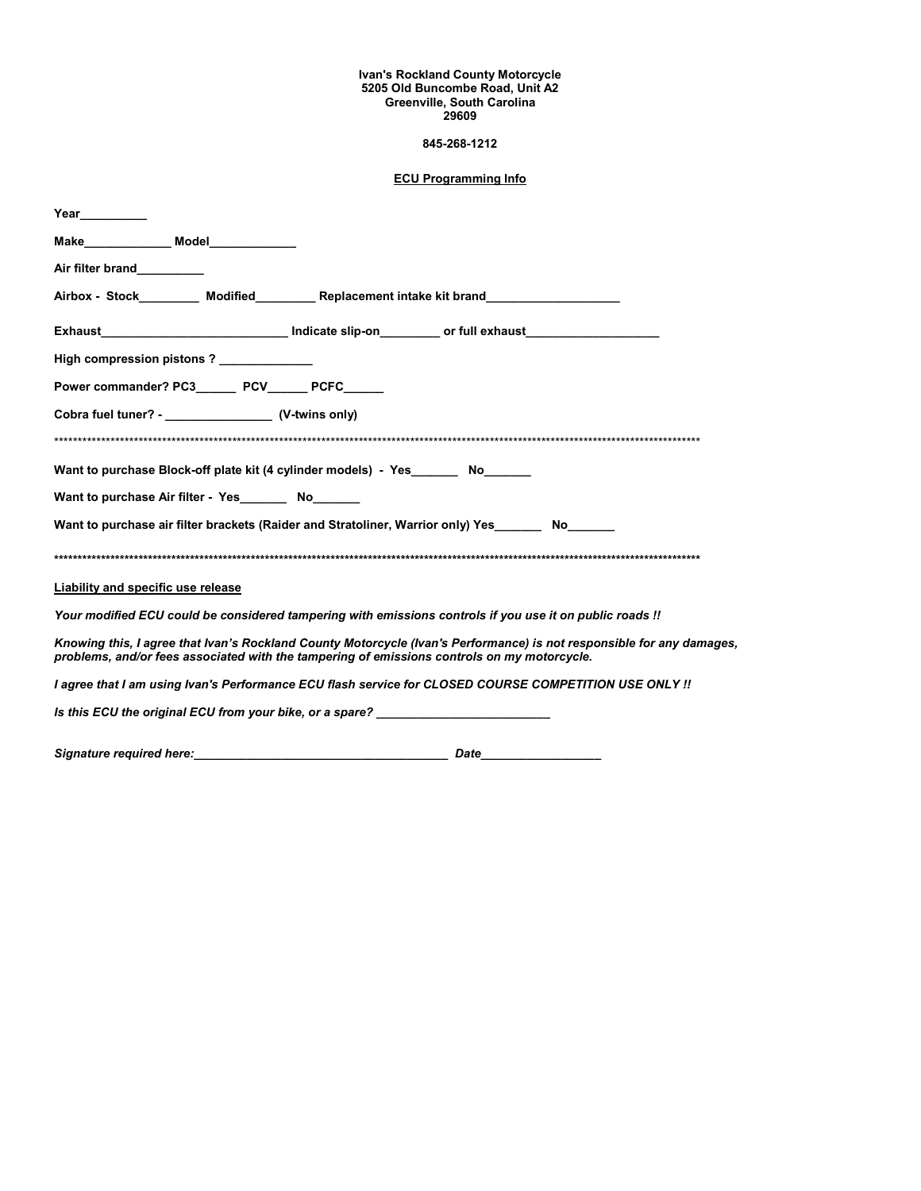## **Ivan's Rockland County Motorcycle 5205 Old Buncombe Road, Unit A2 Greenville, South Carolina 29609**

## **845-268-1212**

## **ECU Programming Info**

| Year $\qquad \qquad$                                                                                                                                                                                                 |                                                                                                     |  |  |  |  |
|----------------------------------------------------------------------------------------------------------------------------------------------------------------------------------------------------------------------|-----------------------------------------------------------------------------------------------------|--|--|--|--|
|                                                                                                                                                                                                                      |                                                                                                     |  |  |  |  |
| Air filter brand__________                                                                                                                                                                                           |                                                                                                     |  |  |  |  |
|                                                                                                                                                                                                                      | Airbox - Stock_________ Modified________ Replacement intake kit brand__________________             |  |  |  |  |
|                                                                                                                                                                                                                      | Exhaust________________________________ Indicate slip-on_________ or full exhaust__________________ |  |  |  |  |
| High compression pistons? ____________                                                                                                                                                                               |                                                                                                     |  |  |  |  |
| Power commander? PC3_______ PCV______ PCFC______                                                                                                                                                                     |                                                                                                     |  |  |  |  |
| Cobra fuel tuner? - ________________________ (V-twins only)                                                                                                                                                          |                                                                                                     |  |  |  |  |
|                                                                                                                                                                                                                      |                                                                                                     |  |  |  |  |
| Want to purchase Block-off plate kit (4 cylinder models) - Yes No                                                                                                                                                    |                                                                                                     |  |  |  |  |
| Want to purchase Air filter - Yes________ No_______                                                                                                                                                                  |                                                                                                     |  |  |  |  |
| Want to purchase air filter brackets (Raider and Stratoliner, Warrior only) Yes ___________________                                                                                                                  |                                                                                                     |  |  |  |  |
|                                                                                                                                                                                                                      |                                                                                                     |  |  |  |  |
| <b>Liability and specific use release</b>                                                                                                                                                                            |                                                                                                     |  |  |  |  |
| Your modified ECU could be considered tampering with emissions controls if you use it on public roads !!                                                                                                             |                                                                                                     |  |  |  |  |
| Knowing this, I agree that Ivan's Rockland County Motorcycle (Ivan's Performance) is not responsible for any damages,<br>problems, and/or fees associated with the tampering of emissions controls on my motorcycle. |                                                                                                     |  |  |  |  |
| I agree that I am using Ivan's Performance ECU flash service for CLOSED COURSE COMPETITION USE ONLY !!                                                                                                               |                                                                                                     |  |  |  |  |
| Is this ECU the original ECU from your bike, or a spare?                                                                                                                                                             |                                                                                                     |  |  |  |  |

*Signature required here:\_\_\_\_\_\_\_\_\_\_\_\_\_\_\_\_\_\_\_\_\_\_\_\_\_\_\_\_\_\_\_\_\_\_\_\_\_\_**Date***\_\_\_\_\_\_\_\_\_\_\_\_\_\_\_\_\_\_**